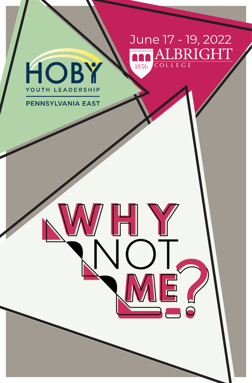#### June 17 - 19, 2022<br>MALBRIGHT COLLEGE  $\frac{1}{1856}$

 $\overline{\mathbf{B}}$ 

 $\overline{Q}$ 



PENNSYLVANIA EAST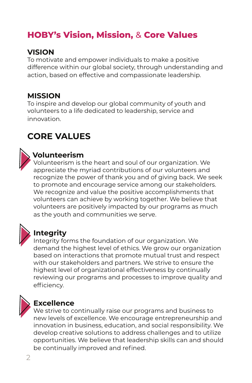#### <span id="page-1-0"></span>**HOBY's Vision, Mission,** & **Core Values**

#### **VISION**

To motivate and empower individuals to make a positive difference within our global society, through understanding and action, based on effective and compassionate leadership.

#### **MISSION**

To inspire and develop our global community of youth and volunteers to a life dedicated to leadership, service and innovation.

#### **CORE VALUES**

#### **Volunteerism**

Volunteerism is the heart and soul of our organization. We appreciate the myriad contributions of our volunteers and recognize the power of thank you and of giving back. We seek to promote and encourage service among our stakeholders. We recognize and value the positive accomplishments that volunteers can achieve by working together. We believe that volunteers are positively impacted by our programs as much as the youth and communities we serve.

#### **Integrity**

Integrity forms the foundation of our organization. We demand the highest level of ethics. We grow our organization based on interactions that promote mutual trust and respect with our stakeholders and partners. We strive to ensure the highest level of organizational effectiveness by continually reviewing our programs and processes to improve quality and efficiency.



#### **Excellence**

We strive to continually raise our programs and business to new levels of excellence. We encourage entrepreneurship and innovation in business, education, and social responsibility. We develop creative solutions to address challenges and to utilize opportunities. We believe that leadership skills can and should be continually improved and refined.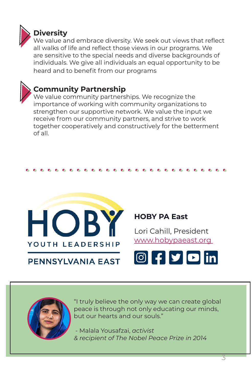

#### **Diversity**

We value and embrace diversity. We seek out views that reflect all walks of life and reflect those views in our programs. We are sensitive to the special needs and diverse backgrounds of individuals. We give all individuals an equal opportunity to be heard and to benefit from our programs

#### **Community Partnership**

We value community partnerships. We recognize the importance of working with community organizations to strengthen our supportive network. We value the input we receive from our community partners, and strive to work together cooperatively and constructively for the betterment of all.



**PENNSYLVANIA EAST** 

#### **HOBY PA East**

Lori Cahill, President [www.hobypaeast.org](http://www.hobypaeast.org )





"I truly believe the only way we can create global peace is through not only educating our minds, but our hearts and our souls."

 - Malala Yousafzai, *activist & recipient of The Nobel Peace Prize in 2014*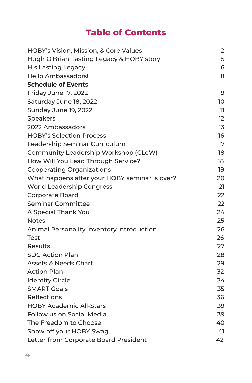#### **Table of Contents**

| HOBY's Vision, Mission, & Core Values         | 2               |
|-----------------------------------------------|-----------------|
| Hugh O'Brian Lasting Legacy & HOBY story      | 5               |
| <b>His Lasting Legacy</b>                     | 6               |
| Hello Ambassadors!                            | 8               |
| <b>Schedule of Events</b>                     |                 |
| <b>Friday June 17, 2022</b>                   | 9               |
| Saturday June 18, 2022                        | 10              |
| Sunday June 19, 2022                          | 11.             |
| Speakers                                      | 12 <sup>2</sup> |
| 2022 Ambassadors                              | 13              |
| <b>HOBY's Selection Process</b>               | 16              |
| Leadership Seminar Curriculum                 | 17              |
| Community Leadership Workshop (CLeW)          | 18              |
| How Will You Lead Through Service?            | 18              |
| <b>Cooperating Organizations</b>              | 19              |
| What happens after your HOBY seminar is over? | 20              |
| <b>World Leadership Congress</b>              | 21              |
| <b>Corporate Board</b>                        | 22              |
| <b>Seminar Committee</b>                      | 22              |
| A Special Thank You                           | 24              |
| <b>Notes</b>                                  | 25              |
| Animal Personality Inventory introduction     | 26              |
| Test                                          | 26              |
| Results                                       | 27              |
| <b>SDG Action Plan</b>                        | 28              |
| <b>Assets &amp; Needs Chart</b>               | 29              |
| <b>Action Plan</b>                            | 32              |
| <b>Identity Circle</b>                        | 34              |
| <b>SMART Goals</b>                            | 35              |
| Reflections                                   | 36              |
| <b>HOBY Academic All-Stars</b>                | 39              |
| <b>Follow us on Social Media</b>              | 39              |
| The Freedom to Choose                         | 40              |
| Show off your HOBY Swag                       | 41              |
| Letter from Corporate Board President         | 42              |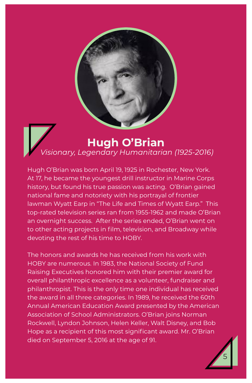<span id="page-4-0"></span>

#### **Hugh O'Brian**  *Visionary, Legendary Humanitarian (1925-2016)*

Hugh O'Brian was born April 19, 1925 in Rochester, New York. At 17, he became the youngest drill instructor in Marine Corps history, but found his true passion was acting. O'Brian gained national fame and notoriety with his portrayal of frontier lawman Wyatt Earp in "The Life and Times of Wyatt Earp." This top-rated television series ran from 1955-1962 and made O'Brian an overnight success. After the series ended, O'Brian went on to other acting projects in film, television, and Broadway while devoting the rest of his time to HOBY.

The honors and awards he has received from his work with HOBY are numerous. In 1983, the National Society of Fund Raising Executives honored him with their premier award for overall philanthropic excellence as a volunteer, fundraiser and philanthropist. This is the only time one individual has received the award in all three categories. In 1989, he received the 60th Annual American Education Award presented by the American Association of School Administrators. O'Brian joins Norman Rockwell, Lyndon Johnson, Helen Keller, Walt Disney, and Bob Hope as a recipient of this most significant award. Mr. O'Brian died on September 5, 2016 at the age of 91.

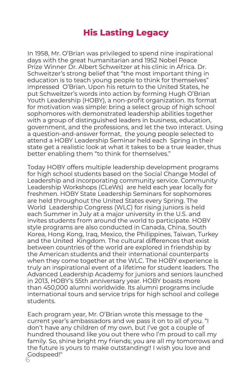#### **His Lasting Legacy**

<span id="page-5-0"></span>In 1958, Mr. O'Brian was privileged to spend nine inspirational days with the great humanitarian and 1952 Nobel Peace Prize Winner Dr. Albert Schweitzer at his clinic in Africa. Dr. Schweitzer's strong belief that "the most important thing in education is to teach young people to think for themselves" impressed O'Brian. Upon his return to the United States, he put Schweitzer's words into action by forming Hugh O'Brian Youth Leadership (HOBY), a non-profit organization. Its format for motivation was simple: bring a select group of high school sophomores with demonstrated leadership abilities together with a group of distinguished leaders in business, education, government, and the professions, and let the two interact. Using a question-and-answer format, the young people selected to attend a HOBY Leadership Seminar held each Spring in their state get a realistic look at what it takes to be a true leader, thus better enabling them "to think for themselves."

Today HOBY offers multiple leadership development programs for high school students based on the Social Change Model of Leadership and incorporating community service. Community Leadership Workshops (CLeWs) are held each year locally for freshmen. HOBY State Leadership Seminars for sophomores are held throughout the United States every Spring. The World Leadership Congress (WLC) for rising juniors is held each Summer in July at a major university in the U.S. and invites students from around the world to participate. HOBY style programs are also conducted in Canada, China, South Korea, Hong Kong, Iraq, Mexico, the Philippines, Taiwan, Turkey and the United Kingdom. The cultural differences that exist between countries of the world are explored in friendship by the American students and their international counterparts when they come together at the WLC. The HOBY experience is truly an inspirational event of a lifetime for student leaders. The Advanced Leadership Academy for juniors and seniors launched in 2013, HOBY's 55th anniversary year. HOBY boasts more than 450,000 alumni worldwide. Its alumni programs include international tours and service trips for high school and college students.

Each program year, Mr. O'Brian wrote this message to the current year's ambassadors and we pass it on to all of you. "I don't have any children of my own, but I've got a couple of hundred thousand like you out there who I'm proud to call my family. So, shine bright my friends; you are all my tomorrows and the future is yours to make outstanding!! I wish you love and Godspeed!" 6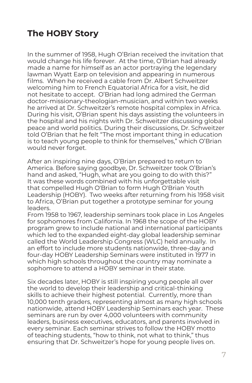#### **The HOBY Story**

In the summer of 1958, Hugh O'Brian received the invitation that would change his life forever. At the time, O'Brian had already made a name for himself as an actor portraying the legendary lawman Wyatt Earp on television and appearing in numerous films. When he received a cable from Dr. Albert Schweitzer welcoming him to French Equatorial Africa for a visit, he did not hesitate to accept. O'Brian had long admired the German doctor-missionary-theologian-musician, and within two weeks he arrived at Dr. Schweitzer's remote hospital complex in Africa. During his visit, O'Brian spent his days assisting the volunteers in the hospital and his nights with Dr. Schweitzer discussing global peace and world politics. During their discussions, Dr. Schweitzer told O'Brian that he felt "The most important thing in education is to teach young people to think for themselves," which O'Brian would never forget.

After an inspiring nine days, O'Brian prepared to return to America. Before saying goodbye, Dr. Schweitzer took O'Brian's hand and asked, "Hugh, what are you going to do with this?" It was these words combined with his unforgettable visit that compelled Hugh O'Brian to form Hugh O'Brian Youth Leadership (HOBY). Two weeks after returning from his 1958 visit to Africa, O'Brian put together a prototype seminar for young leaders.

From 1958 to 1967, leadership seminars took place in Los Angeles for sophomores from California. In 1968 the scope of the HOBY program grew to include national and international participants which led to the expanded eight-day global leadership seminar called the World Leadership Congress (WLC) held annually. In an effort to include more students nationwide, three-day and four-day HOBY Leadership Seminars were instituted in 1977 in which high schools throughout the country may nominate a sophomore to attend a HOBY seminar in their state.

Six decades later, HOBY is still inspiring young people all over the world to develop their leadership and critical-thinking skills to achieve their highest potential. Currently, more than 10,000 tenth graders, representing almost as many high schools nationwide, attend HOBY Leadership Seminars each year. These seminars are run by over 4,000 volunteers with community leaders, business executives, educators, and parents involved in every seminar. Each seminar strives to follow the HOBY motto of teaching students, "how to think, not what to think," thus ensuring that Dr. Schweitzer's hope for young people lives on.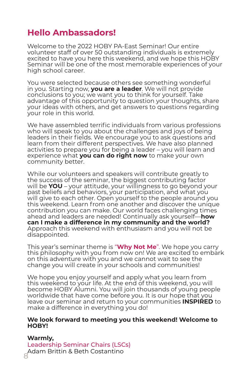#### <span id="page-7-0"></span>**Hello Ambassadors!**

Welcome to the 2022 HOBY PA-East Seminar! Our entire volunteer staff of over 50 outstanding individuals is extremely excited to have you here this weekend, and we hope this HOBY Seminar will be one of the most memorable experiences of your high school career.

You were selected because others see something wonderful in you. Starting now, **you are a leader**. We will not provide conclusions to you; we want you to think for yourself. Take advantage of this opportunity to question your thoughts, share your ideas with others, and get answers to questions regarding your role in this world.

We have assembled terrific individuals from various professions who will speak to you about the challenges and joys of being leaders in their fields. We encourage you to ask questions and learn from their different perspectives. We have also planned activities to prepare you for being a leader – you will learn and experience what **you can do right now** to make your own community better.

While our volunteers and speakers will contribute greatly to the success of the seminar, the biggest contributing factor will be **YOU** – your attitude, your willingness to go beyond your past beliefs and behaviors, your participation, and what you will give to each other. Open yourself to the people around you this weekend. Learn from one another and discover the unique contribution you can make. Our world faces challenging times ahead and leaders are needed! Continually ask yourself—**how can I make a difference in my community and the world?** Approach this weekend with enthusiasm and you will not be disappointed.

This year's seminar theme is "**Why Not Me**". We hope you carry this philosophy with you from now on! We are excited to embark on this adventure with you and we cannot wait to see the change you will create in your schools and communities!

We hope you enjoy yourself and apply what you learn from this weekend to your life. At the end of this weekend, you will become HOBY Alumni. You will join thousands of young people worldwide that have come before you. It is our hope that you leave our seminar and return to your communities **INSPIRED** to make a difference in everything you do!

#### **We look forward to meeting you this weekend! Welcome to HOBY!**

**Warmly,**

Leadership Seminar Chairs (LSCs) Adam Brittin & Beth Costantino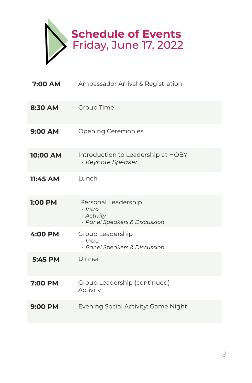<span id="page-8-0"></span>

| 7:00 AM         | Ambassador Arrival & Registration                                                   |
|-----------------|-------------------------------------------------------------------------------------|
| 8:30 AM         | <b>Group Time</b>                                                                   |
| 9:00 AM         | <b>Opening Ceremonies</b>                                                           |
| <b>10:00 AM</b> | Introduction to Leadership at HOBY<br>· Keynote Speaker                             |
| $11:45$ AM      | Lunch                                                                               |
| <b>1:00 PM</b>  | Personal Leadership<br>$\cdot$ Intro<br>· Activity<br>· Panel Speakers & Discussion |
| 4:00 PM         | Group Leadership<br>$\cdot$ Intro<br>· Panel Speakers & Discussion                  |
| 5:45 PM         | Dinner                                                                              |
| 7:00 PM         | Group Leadership (continued)<br>Activity                                            |
| 9:00 PM         | Evening Social Activity: Game Night                                                 |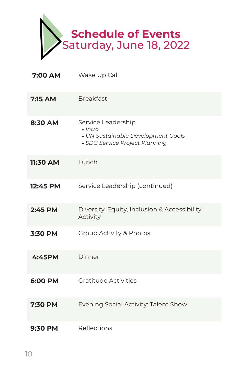<span id="page-9-0"></span>

| 7:00 AM  | Wake Up Call                                                                                                |
|----------|-------------------------------------------------------------------------------------------------------------|
| 7:15 AM  | <b>Breakfast</b>                                                                                            |
| 8:30 AM  | Service Leadership<br>$\cdot$ Intro<br>• UN Sustainable Development Goals<br>· SDG Service Project Planning |
| 11:30 AM | Lunch                                                                                                       |
| 12:45 PM | Service Leadership (continued)                                                                              |
| 2:45 PM  | Diversity, Equity, Inclusion & Accessibility<br>Activity                                                    |
| 3:30 PM  | <b>Group Activity &amp; Photos</b>                                                                          |
| 4:45PM   | Dinner                                                                                                      |
| 6:00 PM  | <b>Gratitude Activities</b>                                                                                 |
| 7:30 PM  | Evening Social Activity: Talent Show                                                                        |
| 9:30 PM  | Reflections                                                                                                 |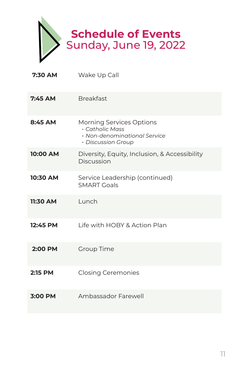<span id="page-10-0"></span>

| 7:30 AM  | Wake Up Call                                                                                      |
|----------|---------------------------------------------------------------------------------------------------|
| 7:45AM   | <b>Breakfast</b>                                                                                  |
| 8:45 AM  | Morning Services Options<br>· Catholic Mass<br>• Non-denominational Service<br>· Discussion Group |
| 10:00 AM | Diversity, Equity, Inclusion, & Accessibility<br>Discussion                                       |
| 10:30 AM | Service Leadership (continued)<br><b>SMART Goals</b>                                              |
| 11:30 AM | Lunch                                                                                             |
| 12:45 PM | Life with HOBY & Action Plan                                                                      |
| 2:00 PM  | <b>Group Time</b>                                                                                 |
| 2:15 PM  | <b>Closing Ceremonies</b>                                                                         |
| 3:00 PM  | Ambassador Farewell                                                                               |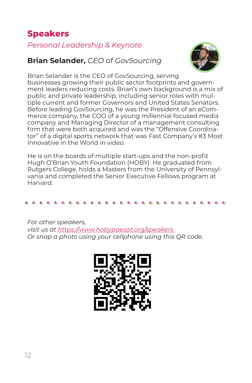#### <span id="page-11-0"></span>**Speakers**

#### *Personal Leadership & Keynote*

#### **Brian Selander,** *CEO of GovSourcing*



Brian Selander is the CEO of GovSourcing, serving businesses growing their public sector footprints and government leaders reducing costs. Brian's own background is a mix of public and private leadership, including senior roles with multiple current and former Governors and United States Senators. Before leading GovSourcing, he was the President of an eCommerce company, the COO of a young millennial focused media company and Managing Director of a management consulting firm that were both acquired and was the "Offensive Coordinator" of a digital sports network that was Fast Company's #3 Most Innovative in the World in video.

He is on the boards of multiple start-ups and the non-profit Hugh O'Brian Youth Foundation (HOBY). He graduated from Rutgers College, holds a Masters from the University of Pennsylvania and completed the Senior Executive Fellows program at Harvard.

*For other speakers, visit us at [https://www.hobypaeast.org/speakers](https://www.hobypaeast.org/speakers )  Or snap a photo using your cellphone using this QR code.*

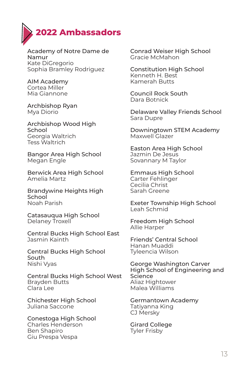<span id="page-12-0"></span>

Academy of Notre Dame de Namur Kate DiGregorio Sophia Bramley Rodriguez

AIM Academy Cortea Miller Mia Giannone

Archbishop Ryan Mya Diorio

Archbishop Wood High School Georgia Waltrich Tess Waltrich

Bangor Area High School Megan Engle

Berwick Area High School Amelia Martz

Brandywine Heights High School Noah Parish

Catasauqua High School Delaney Troxell

Central Bucks High School East Jasmin Kainth

Central Bucks High School South Nishi Vyas

Central Bucks High School West Brayden Butts Clara Lee

Chichester High School Juliana Saccone

Conestoga High School Charles Henderson Ben Shapiro Giu Prespa Vespa

Conrad Weiser High School Gracie McMahon

Constitution High School Kenneth H. Best Kamerah Butts

Council Rock South Dara Botnick

Delaware Valley Friends School Sara Dupre

Downingtown STEM Academy Maxwell Glazer

Easton Area High School Jazmin De Jesus Sovannary M Taylor

Emmaus High School Carter Fehlinger Cecilia Christ Sarah Greene

Exeter Township High School Leah Schmid

Freedom High School Allie Harper

Friends' Central School Hanan Muaddi Tyleencia Wilson

George Washington Carver High School of Engineering and Science Aliaz Hightower Malea Williams

Germantown Academy Tatiyanna King CJ Mersky

Girard College Tyler Frisby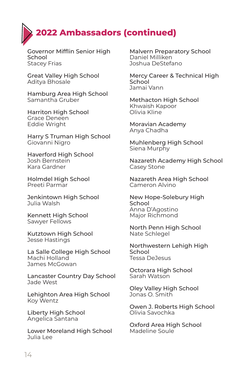

Governor Mifflin Senior High School Stacey Frias

Great Valley High School Aditya Bhosale

Hamburg Area High School Samantha Gruber

Harriton High School Grace Deneen Eddie Wright

Harry S Truman High School Giovanni Nigro

Haverford High School Josh Bernstein Kara Gardner

Holmdel High School Preeti Parmar

Jenkintown High School Julia Walsh

Kennett High School Sawyer Fellows

Kutztown High School Jesse Hastings

La Salle College High School Machi Holland James McGowan

Lancaster Country Day School Jade West

Lehighton Area High School Koy Wentz

Liberty High School Angelica Santana

Lower Moreland High School Julia Lee

Malvern Preparatory School Daniel Milliken Joshua DeStefano

Mercy Career & Technical High School Jamai Vann

Methacton High School Khwaish Kapoor Olivia Kline

Moravian Academy Anya Chadha

Muhlenberg High School Siena Murphy

Nazareth Academy High School Casey Stone

Nazareth Area High School Cameron Alvino

New Hope-Solebury High School Anna D'Agostino Major Richmond

North Penn High School Nate Schlegel

Northwestern Lehigh High School Tessa DeJesus

Octorara High School Sarah Watson

Oley Valley High School Jonas O. Smith

Owen J. Roberts High School Olivia Savochka

Oxford Area High School Madeline Soule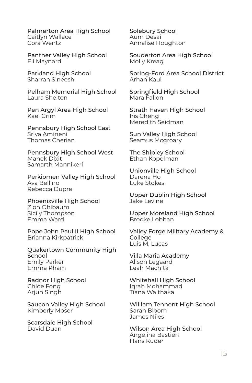Palmerton Area High School Caitlyn Wallace Cora Wentz

Panther Valley High School Eli Maynard

Parkland High School Sharran Sineesh

Pelham Memorial High School Laura Shelton

Pen Argyl Area High School Kael Grim

Pennsbury High School East Sriya Amineni Thomas Cherian

Pennsbury High School West Mahek Dixit Samarth Mannikeri

Perkiomen Valley High School Ava Bellino Rebecca Dupre

Phoenixville High School Zion Ohlbaum Sicily Thompson Emma Ward

Pope John Paul II High School Brianna Kirkpatrick

Quakertown Community High School Emily Parker Emma Pham

Radnor High School Chloe Fong Arjun Singh

Saucon Valley High School Kimberly Moser

Scarsdale High School David Duan

Solebury School Aum Desai Annalise Houghton

Souderton Area High School Molly Kreag

Spring-Ford Area School District Arhan Kaul

Springfield High School Mara Fallon

Strath Haven High School Iris Cheng Meredith Seidman

Sun Valley High School Seamus Mcgroary

The Shipley School Ethan Kopelman

Unionville High School Darena Ho Luke Stokes

Upper Dublin High School Jake Levine

Upper Moreland High School Brooke Lobban

Valley Forge Military Academy & College Luis M. Lucas

Villa Maria Academy Alison Legaard Leah Machita

Whitehall High School Iqrah Mohammad Tiana Waithaka

William Tennent High School Sarah Bloom James Niles

Wilson Area High School Angelina Bastien Hans Kuder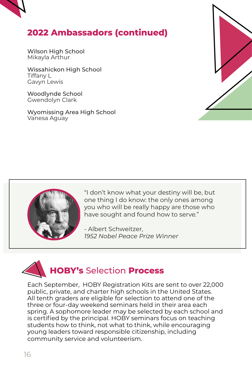# <span id="page-15-0"></span>**2022 Ambassadors (continued)**

Wilson High School Mikayla Arthur

Wissahickon High School Tiffany L Gavyn Lewis

Woodlynde School Gwendolyn Clark

Wyomissing Area High School Vanesa Aguay





"I don't know what your destiny will be, but one thing I do know: the only ones among you who will be really happy are those who have sought and found how to serve."

- Albert Schweitzer, *1952 Nobel Peace Prize Winner*

# **HOBY's** Selection **Process**

Each September, HOBY Registration Kits are sent to over 22,000 public, private, and charter high schools in the United States. All tenth graders are eligible for selection to attend one of the three or four-day weekend seminars held in their area each spring. A sophomore leader may be selected by each school and is certified by the principal. HOBY seminars focus on teaching students how to think, not what to think, while encouraging young leaders toward responsible citizenship, including community service and volunteerism.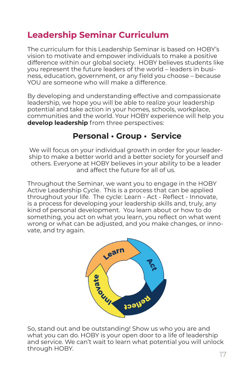#### <span id="page-16-0"></span>**Leadership Seminar Curriculum**

The curriculum for this Leadership Seminar is based on HOBY's vision to motivate and empower individuals to make a positive difference within our global society. HOBY believes students like you represent the future leaders of the world – leaders in business, education, government, or any field you choose – because YOU are someone who will make a difference.

By developing and understanding effective and compassionate leadership, we hope you will be able to realize your leadership potential and take action in your homes, schools, workplace, communities and the world. Your HOBY experience will help you **develop leadership** from three perspectives:

#### **Personal • Group • Service**

We will focus on your individual growth in order for your leadership to make a better world and a better society for yourself and others. Everyone at HOBY believes in your ability to be a leader and affect the future for all of us.

Throughout the Seminar, we want you to engage in the HOBY Active Leadership Cycle. This is a process that can be applied throughout your life. The cycle: Learn - Act - Reflect - Innovate, is a process for developing your leadership skills and, truly, any kind of personal development. You learn about or how to do something, you act on what you learn, you reflect on what went wrong or what can be adjusted, and you make changes, or innovate, and try again.



So, stand out and be outstanding! Show us who you are and what you can do. HOBY is your open door to a life of leadership and service. We can't wait to learn what potential you will unlock through HOBY.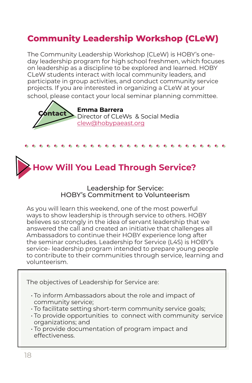#### <span id="page-17-0"></span>**Community Leadership Workshop (CLeW)**

The Community Leadership Workshop (CLeW) is HOBY's oneday leadership program for high school freshmen, which focuses on leadership as a discipline to be explored and learned. HOBY CLeW students interact with local community leaders, and participate in group activities, and conduct community service projects. If you are interested in organizing a CLeW at your school, please contact your local seminar planning committee.



**COLOR** 

 $\bullet$ 



#### Leadership for Service: HOBY's Commitment to Volunteerism

As you will learn this weekend, one of the most powerful ways to show leadership is through service to others. HOBY believes so strongly in the idea of servant leadership that we answered the call and created an initiative that challenges all Ambassadors to continue their HOBY experience long after the seminar concludes. Leadership for Service (L4S) is HOBY's service- leadership program intended to prepare young people to contribute to their communities through service, learning and volunteerism.

The objectives of Leadership for Service are:

- To inform Ambassadors about the role and impact of community service;
- To facilitate setting short-term community service goals;
- To provide opportunities to connect with community service organizations; and
- To provide documentation of program impact and effectiveness.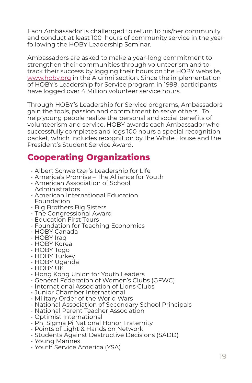<span id="page-18-0"></span>Each Ambassador is challenged to return to his/her community and conduct at least 100 hours of community service in the year following the HOBY Leadership Seminar.

Ambassadors are asked to make a year-long commitment to strengthen their communities through volunteerism and to track their success by logging their hours on the HOBY website, [www.hoby.org](https://hoby.org/) in the Alumni section. Since the implementation of HOBY's Leadership for Service program in 1998, participants have logged over 4 Million volunteer service hours.

Through HOBY's Leadership for Service programs, Ambassadors gain the tools, passion and commitment to serve others. To help young people realize the personal and social benefits of volunteerism and service, HOBY awards each Ambassador who successfully completes and logs 100 hours a special recognition packet, which includes recognition by the White House and the President's Student Service Award.

#### **Cooperating Organizations**

- Albert Schweitzer's Leadership for Life
- America's Promise The Alliance for Youth
- American Association of School Administrators
- American International Education Foundation
- Big Brothers Big Sisters
- The Congressional Award
- Education First Tours
- Foundation for Teaching Economics
- HOBY Canada
- HOBY Iraq
- HOBY Korea
- HOBY Togo
- HOBY Turkey
- HOBY Uganda
- HOBY UK
- Hong Kong Union for Youth Leaders
- General Federation of Women's Clubs (GFWC)
- International Association of Lions Clubs
- Junior Chamber International
- Military Order of the World Wars
- National Association of Secondary School Principals
- National Parent Teacher Association
- Optimist International
- Phi Sigma Pi National Honor Fraternity
- Points of Light & Hands on Network
- Students Against Destructive Decisions (SADD)
- Young Marines
- Youth Service America (YSA)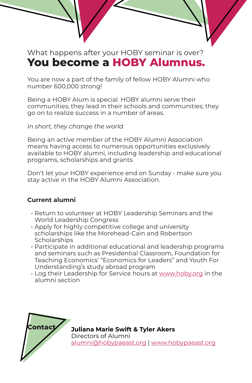#### <span id="page-19-0"></span>What happens after your HOBY seminar is over? **You become a HOBY Alumnus.**

You are now a part of the family of fellow HOBY Alumni who number 600,000 strong!

Being a HOBY Alum is special. HOBY alumni serve their communities; they lead in their schools and communities; they go on to realize success in a number of areas.

*In short, they change the world.*

Being an active member of the HOBY Alumni Association means having access to numerous opportunities exclusively available to HOBY alumni, including leadership and educational programs, scholarships and grants.

Don't let your HOBY experience end on Sunday - make sure you stay active in the HOBY Alumni Association.

#### **Current alumni**

- Return to volunteer at HOBY Leadership Seminars and the World Leadership Congress
- Apply for highly competitive college and university scholarships like the Morehead-Cain and Robertson **Scholarships**
- Participate in additional educational and leadership programs and seminars such as Presidential Classroom, Foundation for Teaching Economics' "Economics for Leaders" and Youth For Understanding's study abroad program
- Log their Leadership for Service hours at [www.hoby.org](https://www.hoby.org/) in the alumni section



**Juliana Marie Swift & Tyler Akers** Directors of Alumni [alumni@hobypaeast.org](mailto:alumni%40hobypaeast.org?subject=Alumni%20Inquiry) | [www.hobypaeast.org](http://www.hobypaeast.org )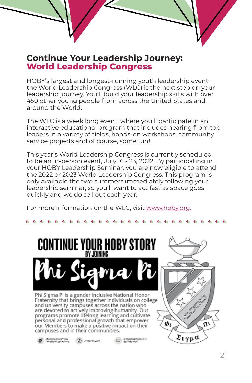#### <span id="page-20-0"></span>**Continue Your Leadership Journey: World Leadership Congress**

HOBY's largest and longest-running youth leadership event, the World Leadership Congress (WLC) is the next step on your leadership journey. You'll build your leadership skills with over 450 other young people from across the United States and around the World.

The WLC is a week long event, where you'll participate in an interactive educational program that includes hearing from top leaders in a variety of fields, hands-on workshops, community service projects and of course, some fun!

This year's World Leadership Congress is currently scheduled to be an in-person event, July 16 - 23, 2022. By participating in your HOBY Leadership Seminar, you are now eligible to attend the 2022 or 2023 World Leadership Congress. This program is only available the two summers immediately following your leadership seminar, so you'll want to act fast as space goes quickly and we do sell out each year.

For more information on the WLC, visit [www.hoby.org](http://www.hoby.org).

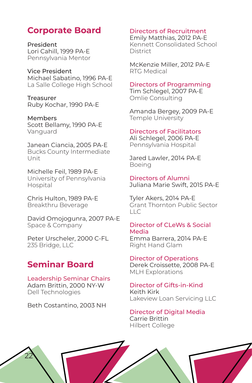#### <span id="page-21-0"></span>**Corporate Board**

President Lori Cahill, 1999 PA-E Pennsylvania Mentor

Vice President Michael Sabatino, 1996 PA-E La Salle College High School

Treasurer Ruby Kochar, 1990 PA-E

Members Scott Bellamy, 1990 PA-E Vanguard

Janean Ciancia, 2005 PA-E Bucks County Intermediate Unit

Michelle Feil, 1989 PA-E University of Pennsylvania Hospital

Chris Hulton, 1989 PA-E Breakthru Beverage

David Omojogunra, 2007 PA-E Space & Company

Peter Urscheler, 2000 C-FL 235 Bridge, LLC

#### **Seminar Board**

Leadership Seminar Chairs Adam Brittin, 2000 NY-W Dell Technologies

Beth Costantino, 2003 NH

#### Directors of Recruitment

Emily Matthias, 2012 PA-E Kennett Consolidated School District

McKenzie Miller, 2012 PA-E RTG Medical

#### Directors of Programming

Tim Schlegel, 2007 PA-E Omlie Consulting

Amanda Bergey, 2009 PA-E Temple University

#### Directors of Facilitators

Ali Schlegel, 2006 PA-E Pennsylvania Hospital

Jared Lawler, 2014 PA-E Boeing

Directors of Alumni Juliana Marie Swift, 2015 PA-E

Tyler Akers, 2014 PA-E Grant Thornton Public Sector  $H\subset$ 

#### Director of CLeWs & Social Media Emma Barrera, 2014 PA-E

Right Hand Glam

Director of Operations Derek Croissette, 2008 PA-E MLH Explorations

Director of Gifts-in-Kind Keith Kirk Lakeview Loan Servicing LLC

Director of Digital Media Carrie Brittin Hilbert College

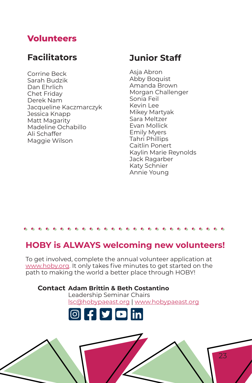#### **Volunteers**

#### **Facilitators**

Corrine Beck Sarah Budzik Dan Ehrlich Chet Friday Derek Nam Jacqueline Kaczmarczyk Jessica Knapp Matt Magarity Madeline Ochabillo Ali Schaffer Maggie Wilson

#### **Junior Staff**

Asja Abron Abby Boquist Amanda Brown Morgan Challenger Sonia Feil Kevin Lee Mikey Martyak Sara Meltzer Evan Mollick Emily Myers Tahri Phillips Caitlin Ponert Kaylin Marie Reynolds Jack Ragarber Katy Schnier Annie Young

#### 

#### **HOBY is ALWAYS welcoming new volunteers!**

To get involved, complete the annual volunteer application at [www.hoby.org.](https://hoby.org/) It only takes five minutes to get started on the path to making the world a better place through HOBY!

#### **Adam Brittin & Beth Costantino Contact**

Leadership Seminar Chairs

[lsc@hobypaeast.org](mailto:lsc%40hobypaeast.org?subject=HOBY%20PA%20East%20inquiry) | [www.hobypaeast.org](http://www.hobypaeast.org )

23

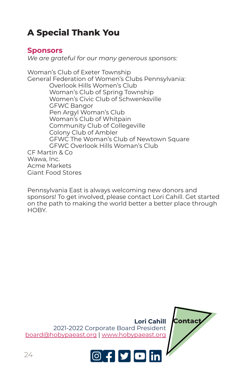#### <span id="page-23-0"></span>**A Special Thank You**

#### **Sponsors**

HOBY.

*We are grateful for our many generous sponsors:*

Woman's Club of Exeter Township General Federation of Women's Clubs Pennsylvania: Overlook Hills Women's Club Woman's Club of Spring Township Women's Civic Club of Schwenksville GFWC Bangor Pen Argyl Woman's Club Woman's Club of Whitpain Community Club of Collegeville Colony Club of Ambler GFWC The Woman's Club of Newtown Square GFWC Overlook Hills Woman's Club CF Martin & Co Wawa, Inc. Acme Markets Giant Food Stores

Pennsylvania East is always welcoming new donors and sponsors! To get involved, please contact Lori Cahill. Get started on the path to making the world better a better place through

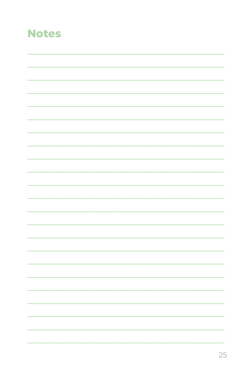#### **Notes**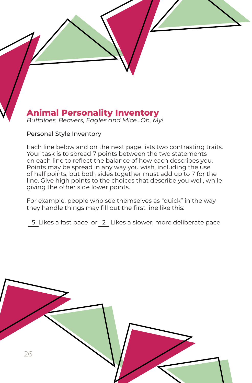#### **Animal Personality Inventory**

*Buffaloes, Beavers, Eagles and Mice…Oh, My!* 

#### Personal Style Inventory

Each line below and on the next page lists two contrasting traits. Your task is to spread 7 points between the two statements on each line to reflect the balance of how each describes you. Points may be spread in any way you wish, including the use of half points, but both sides together must add up to 7 for the line. Give high points to the choices that describe you well, while giving the other side lower points.

For example, people who see themselves as "quick" in the way they handle things may fill out the first line like this:

5 Likes a fast pace or 2 Likes a slower, more deliberate pace

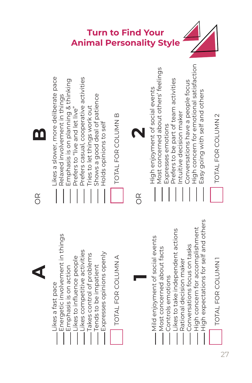

27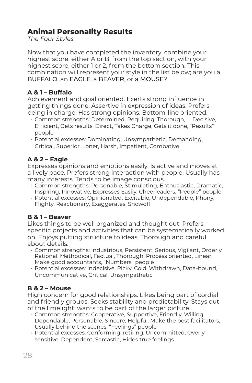#### **Animal Personality Results**

*The Four Styles*

Now that you have completed the inventory, combine your highest score, either A or B, from the top section, with your highest score, either 1 or 2, from the bottom section. This combination will represent your style in the list below; are you a BUFFALO, an EAGLE, a BEAVER, or a MOUSE?

#### **A & 1 – Buffalo**

Achievement and goal oriented. Exerts strong influence in getting things done. Assertive in expression of ideas. Prefers being in charge. Has strong opinions. Bottom-line oriented.

- Common strengths: Determined, Requiring, Thorough, Decisive, Efficient, Gets results, Direct, Takes Charge, Gets it done, "Results" people
- Potential excesses: Dominating, Unsympathetic, Demanding, Critical, Superior, Loner, Harsh, Impatient, Combative

#### **A & 2 – Eagle**

Expresses opinions and emotions easily. Is active and moves at a lively pace. Prefers strong interaction with people. Usually has many interests. Tends to be image conscious.

- Common strengths: Personable, Stimulating, Enthusiastic, Dramatic, Inspiring, Innovative, Expresses Easily, Cheerleaders, "People" people
- Potential excesses: Opinionated, Excitable, Undependable, Phony, Flighty, Reactionary, Exaggerates, Showoff

#### **B & 1 – Beaver**

Likes things to be well organized and thought out. Prefers specific projects and activities that can be systematically worked on. Enjoys putting structure to ideas. Thorough and careful about details.

- Common strengths: Industrious, Persistent, Serious, Vigilant, Orderly, Rational, Methodical, Factual, Thorough, Process oriented, Linear, Make good accountants, "Numbers" people
- Potential excesses: Indecisive, Picky, Cold, Withdrawn, Data-bound, Uncommunicative, Critical, Unsympathetic

#### **B & 2 – Mouse**

High concern for good relationships. Likes being part of cordial and friendly groups. Seeks stability and predictability. Stays out of the limelight; wants to be part of the larger picture.

- Common strengths: Cooperative, Supportive, Friendly, Willing, Dependable, Personable, Sincere, Helpful. Make the best facilitators, Usually behind the scenes, "Feelings" people
- Potential excesses: Conforming, retiring, Uncommitted, Overly sensitive, Dependent, Sarcastic, Hides true feelings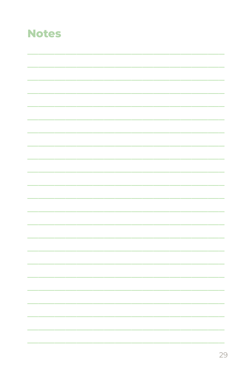#### **Notes**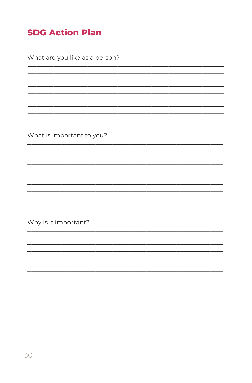#### **SDG Action Plan**

What are you like as a person?

What is important to you?

Why is it important?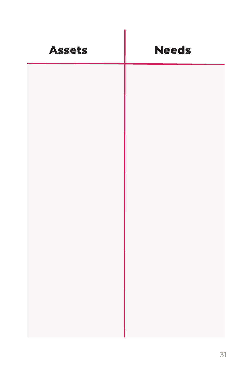| <b>Assets</b> | <b>Needs</b> |
|---------------|--------------|
|               |              |
|               |              |
|               |              |
|               |              |
|               |              |
|               |              |
|               |              |
|               |              |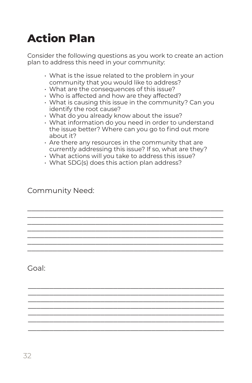# **Action Plan**

Consider the following questions as you work to create an action plan to address this need in your community:

- What is the issue related to the problem in your community that you would like to address?
- What are the consequences of this issue?
- Who is affected and how are they affected?
- What is causing this issue in the community? Can you identify the root cause?
- What do you already know about the issue?
- What information do you need in order to understand the issue better? Where can you go to find out more about it?
- Are there any resources in the community that are currently addressing this issue? If so, what are they?

\_\_\_\_\_\_\_\_\_\_\_\_\_\_\_\_\_\_\_\_\_\_\_\_\_\_\_\_\_\_\_\_\_\_\_\_\_\_\_\_\_\_\_\_\_\_ \_\_\_\_\_\_\_\_\_\_\_\_\_\_\_\_\_\_\_\_\_\_\_\_\_\_\_\_\_\_\_\_\_\_\_\_\_\_\_\_\_\_\_\_\_\_ \_\_\_\_\_\_\_\_\_\_\_\_\_\_\_\_\_\_\_\_\_\_\_\_\_\_\_\_\_\_\_\_\_\_\_\_\_\_\_\_\_\_\_\_\_\_ \_\_\_\_\_\_\_\_\_\_\_\_\_\_\_\_\_\_\_\_\_\_\_\_\_\_\_\_\_\_\_\_\_\_\_\_\_\_\_\_\_\_\_\_\_\_ \_\_\_\_\_\_\_\_\_\_\_\_\_\_\_\_\_\_\_\_\_\_\_\_\_\_\_\_\_\_\_\_\_\_\_\_\_\_\_\_\_\_\_\_\_\_ \_\_\_\_\_\_\_\_\_\_\_\_\_\_\_\_\_\_\_\_\_\_\_\_\_\_\_\_\_\_\_\_\_\_\_\_\_\_\_\_\_\_\_\_\_\_ \_\_\_\_\_\_\_\_\_\_\_\_\_\_\_\_\_\_\_\_\_\_\_\_\_\_\_\_\_\_\_\_\_\_\_\_\_\_\_\_\_\_\_\_\_\_

\_\_\_\_\_\_\_\_\_\_\_\_\_\_\_\_\_\_\_\_\_\_\_\_\_\_\_\_\_\_\_\_\_\_\_\_\_\_\_\_\_\_\_\_\_\_ \_\_\_\_\_\_\_\_\_\_\_\_\_\_\_\_\_\_\_\_\_\_\_\_\_\_\_\_\_\_\_\_\_\_\_\_\_\_\_\_\_\_\_\_\_\_ \_\_\_\_\_\_\_\_\_\_\_\_\_\_\_\_\_\_\_\_\_\_\_\_\_\_\_\_\_\_\_\_\_\_\_\_\_\_\_\_\_\_\_\_\_\_ \_\_\_\_\_\_\_\_\_\_\_\_\_\_\_\_\_\_\_\_\_\_\_\_\_\_\_\_\_\_\_\_\_\_\_\_\_\_\_\_\_\_\_\_\_\_ \_\_\_\_\_\_\_\_\_\_\_\_\_\_\_\_\_\_\_\_\_\_\_\_\_\_\_\_\_\_\_\_\_\_\_\_\_\_\_\_\_\_\_\_\_\_ \_\_\_\_\_\_\_\_\_\_\_\_\_\_\_\_\_\_\_\_\_\_\_\_\_\_\_\_\_\_\_\_\_\_\_\_\_\_\_\_\_\_\_\_\_\_ \_\_\_\_\_\_\_\_\_\_\_\_\_\_\_\_\_\_\_\_\_\_\_\_\_\_\_\_\_\_\_\_\_\_\_\_\_\_\_\_\_\_\_\_\_\_

- What actions will you take to address this issue?
- What SDG(s) does this action plan address?

Community Need:

Goal: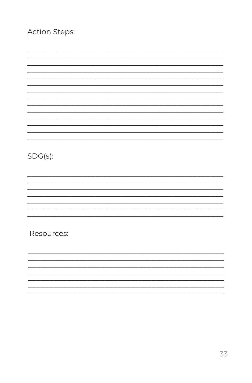#### Action Steps:

#### $SDG(s)$ :

#### Resources: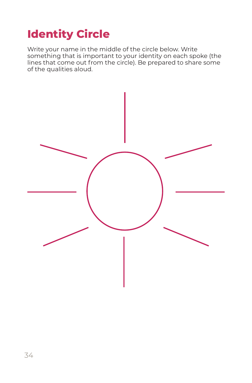# **Identity Circle**

Write your name in the middle of the circle below. Write something that is important to your identity on each spoke (the lines that come out from the circle). Be prepared to share some of the qualities aloud.

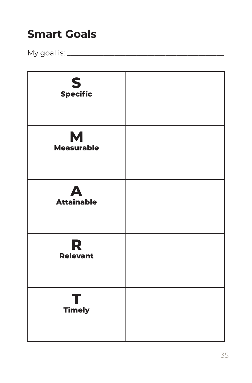### **Smart Goals**

My goal is: \_\_\_\_\_\_\_\_\_\_\_\_\_\_\_\_\_\_\_\_\_\_\_\_\_\_\_\_\_\_\_\_\_\_\_\_\_\_\_\_\_\_\_

| S<br>Specific          |  |
|------------------------|--|
| M<br><b>Measurable</b> |  |
| A<br><b>Attainable</b> |  |
| R<br><b>Relevant</b>   |  |
| $\Gamma$ Timely        |  |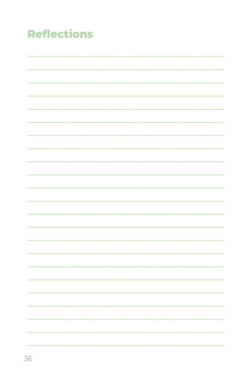<span id="page-35-0"></span>

| <b>Reflections</b> |  |  |
|--------------------|--|--|
|                    |  |  |
|                    |  |  |
|                    |  |  |
|                    |  |  |
|                    |  |  |
|                    |  |  |
|                    |  |  |
|                    |  |  |
|                    |  |  |
|                    |  |  |
|                    |  |  |
|                    |  |  |
|                    |  |  |
|                    |  |  |
|                    |  |  |
|                    |  |  |
|                    |  |  |
|                    |  |  |
|                    |  |  |
|                    |  |  |
|                    |  |  |
|                    |  |  |
|                    |  |  |
|                    |  |  |
|                    |  |  |
|                    |  |  |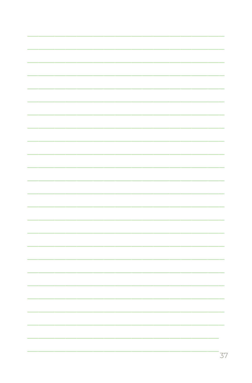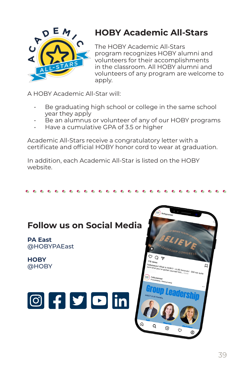<span id="page-38-0"></span>

#### **HOBY Academic All-Stars**

The HOBY Academic All-Stars program recognizes HOBY alumni and volunteers for their accomplishments in the classroom. All HOBY alumni and volunteers of any program are welcome to apply.

A HOBY Academic All-Star will:

- Be graduating high school or college in the same school year they apply
- Be an alumnus or volunteer of any of our HOBY programs
- Have a cumulative GPA of 3.5 or higher

Academic All-Stars receive a congratulatory letter with a certificate and official HOBY honor cord to wear at graduation.

In addition, each Academic All-Star is listed on the HOBY website.

#### **Follow us on Social Media**

**PA East** @HOBYPAEast

#### **HOBY** @HOBY



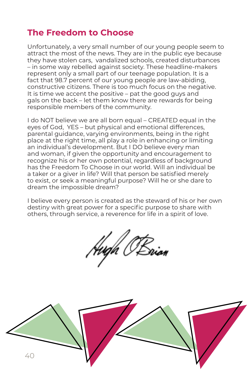#### <span id="page-39-0"></span>**The Freedom to Choose**

Unfortunately, a very small number of our young people seem to attract the most of the news. They are in the public eye because they have stolen cars, vandalized schools, created disturbances – in some way rebelled against society. These headline-makers represent only a small part of our teenage population. It is a fact that 98.7 percent of our young people are law-abiding, constructive citizens. There is too much focus on the negative. It is time we accent the positive – pat the good guys and gals on the back – let them know there are rewards for being responsible members of the community.

I do NOT believe we are all born equal – CREATED equal in the eyes of God, YES – but physical and emotional differences, parental guidance, varying environments, being in the right place at the right time, all play a role in enhancing or limiting an individual's development. But I DO believe every man and woman, if given the opportunity and encouragement to recognize his or her own potential, regardless of background has the Freedom To Choose in our world. Will an individual be a taker or a giver in life? Will that person be satisfied merely to exist, or seek a meaningful purpose? Will he or she dare to dream the impossible dream?

I believe every person is created as the steward of his or her own destiny with great power for a specific purpose to share with others, through service, a reverence for life in a spirit of love.



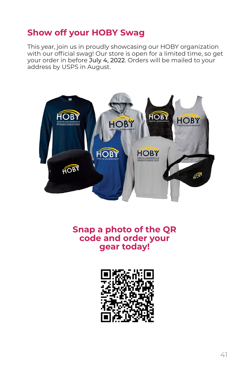#### <span id="page-40-0"></span>**Show off your HOBY Swag**

This year, join us in proudly showcasing our HOBY organization with our official swag! Our store is open for a limited time, so get your order in before July 4, 2022. Orders will be mailed to your address by USPS in August.



**Snap a photo of the QR code and order your gear today!** 

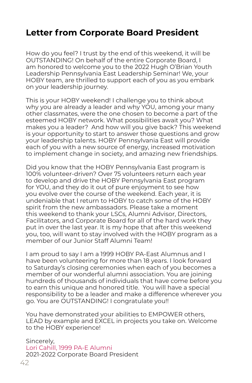#### <span id="page-41-0"></span>**Letter from Corporate Board President**

How do you feel? I trust by the end of this weekend, it will be OUTSTANDING! On behalf of the entire Corporate Board, I am honored to welcome you to the 2022 Hugh O'Brian Youth Leadership Pennsylvania East Leadership Seminar! We, your HOBY team, are thrilled to support each of you as you embark on your leadership journey.

This is your HOBY weekend! I challenge you to think about why you are already a leader and why YOU, among your many other classmates, were the one chosen to become a part of the esteemed HOBY network. What possibilities await you? What makes you a leader? And how will you give back? This weekend is your opportunity to start to answer those questions and grow your leadership talents. HOBY Pennsylvania East will provide each of you with a new source of energy, increased motivation to implement change in society, and amazing new friendships.

Did you know that the HOBY Pennsylvania East program is 100% volunteer-driven? Over 75 volunteers return each year to develop and drive the HOBY Pennsylvania East program for YOU, and they do it out of pure enjoyment to see how you evolve over the course of the weekend. Each year, it is undeniable that I return to HOBY to catch some of the HOBY spirit from the new ambassadors. Please take a moment this weekend to thank your LSCs, Alumni Advisor, Directors, Facilitators, and Corporate Board for all of the hard work they put in over the last year. It is my hope that after this weekend you, too, will want to stay involved with the HOBY program as a member of our Junior Staff Alumni Team!

I am proud to say I am a 1999 HOBY PA-East Alumnus and I have been volunteering for more than 18 years. I look forward to Saturday's closing ceremonies when each of you becomes a member of our wonderful alumni association. You are joining hundreds of thousands of individuals that have come before you to earn this unique and honored title. You will have a special responsibility to be a leader and make a difference wherever you go. You are OUTSTANDING! I congratulate you!!

You have demonstrated your abilities to EMPOWER others, LEAD by example and EXCEL in projects you take on. Welcome to the HOBY experience!

Sincerely, Lori Cahill, 1999 PA-E Alumni 2021-2022 Corporate Board President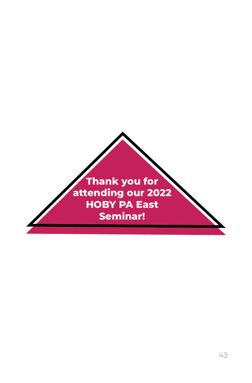